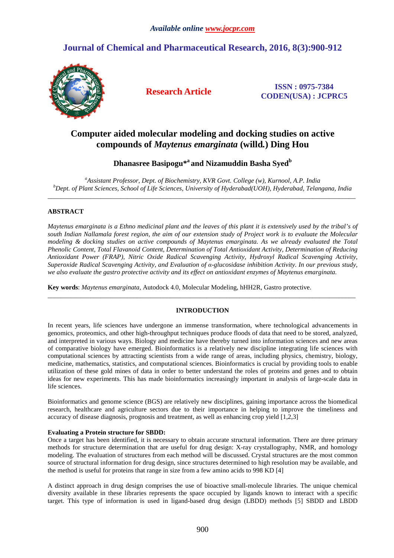# **Journal of Chemical and Pharmaceutical Research, 2016, 8(3):900-912**



**Research Article ISSN : 0975-7384 CODEN(USA) : JCPRC5**

# **Computer aided molecular modeling and docking studies on active compounds of** *Maytenus emarginata* **(willd***.***) Ding Hou**

# **Dhanasree Basipogu\*<sup>a</sup>and Nizamuddin Basha Syed<sup>b</sup>**

*<sup>a</sup>Assistant Professor, Dept. of Biochemistry, KVR Govt. College (w), Kurnool, A.P. India <sup>b</sup>Dept. of Plant Sciences, School of Life Sciences, University of Hyderabad(UOH), Hyderabad, Telangana, India*   $\overline{a}$  , and the contribution of the contribution of the contribution of the contribution of the contribution of the contribution of the contribution of the contribution of the contribution of the contribution of the co

# **ABSTRACT**

*Maytenus emarginata is a Ethno medicinal plant and the leaves of this plant it is extensively used by the tribal's of south Indian Nallamala forest region, the aim of our extension study of Project work is to evaluate the Molecular modeling & docking studies on active compounds of Maytenus emarginata. As we already evaluated the Total Phenolic Content, Total Flavanoid Content, Determination of Total Antioxidant Activity, Determination of Reducing Antioxidant Power (FRAP), Nitric Oxide Radical Scavenging Activity, Hydroxyl Radical Scavenging Activity, Superoxide Radical Scavenging Activity, and Evaluation of α-glucosidase inhibition Activity. In our previous study, we also evaluate the gastro protective activity and its effect on antioxidant enzymes of Maytenus emarginata.* 

**Key words**: *Maytenus emarginata,* Autodock 4.0, Molecular Modeling, hHH2R, Gastro protective.

# **INTRODUCTION**

 $\overline{a}$  , and the contribution of the contribution of the contribution of the contribution of the contribution of the contribution of the contribution of the contribution of the contribution of the contribution of the co

In recent years, life sciences have undergone an immense transformation, where technological advancements in genomics, proteomics, and other high-throughput techniques produce floods of data that need to be stored, analyzed, and interpreted in various ways. Biology and medicine have thereby turned into information sciences and new areas of comparative biology have emerged. Bioinformatics is a relatively new discipline integrating life sciences with computational sciences by attracting scientists from a wide range of areas, including physics, chemistry, biology, medicine, mathematics, statistics, and computational sciences. Bioinformatics is crucial by providing tools to enable utilization of these gold mines of data in order to better understand the roles of proteins and genes and to obtain ideas for new experiments. This has made bioinformatics increasingly important in analysis of large-scale data in life sciences.

Bioinformatics and genome science (BGS) are relatively new disciplines, gaining importance across the biomedical research, healthcare and agriculture sectors due to their importance in helping to improve the timeliness and accuracy of disease diagnosis, prognosis and treatment, as well as enhancing crop yield [1,2,3]

# **Evaluating a Protein structure for SBDD:**

Once a target has been identified, it is necessary to obtain accurate structural information. There are three primary methods for structure determination that are useful for drug design: X-ray crystallography, NMR, and homology modeling. The evaluation of structures from each method will be discussed. Crystal structures are the most common source of structural information for drug design, since structures determined to high resolution may be available, and the method is useful for proteins that range in size from a few amino acids to 998 KD [4]

A distinct approach in drug design comprises the use of bioactive small-molecule libraries. The unique chemical diversity available in these libraries represents the space occupied by ligands known to interact with a specific target. This type of information is used in ligand-based drug design (LBDD) methods [5] SBDD and LBDD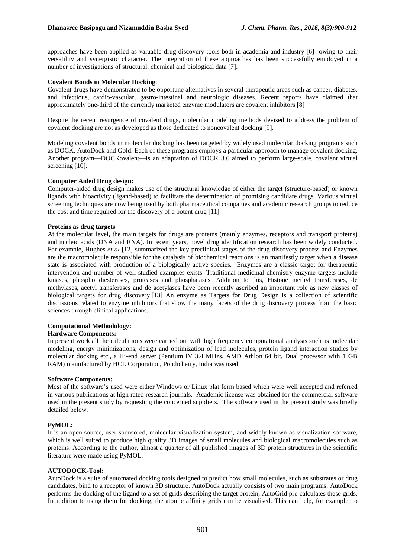approaches have been applied as valuable drug discovery tools both in academia and industry [6] owing to their versatility and synergistic character. The integration of these approaches has been successfully employed in a number of investigations of structural, chemical and biological data [7].

\_\_\_\_\_\_\_\_\_\_\_\_\_\_\_\_\_\_\_\_\_\_\_\_\_\_\_\_\_\_\_\_\_\_\_\_\_\_\_\_\_\_\_\_\_\_\_\_\_\_\_\_\_\_\_\_\_\_\_\_\_\_\_\_\_\_\_\_\_\_\_\_\_\_\_\_\_\_

#### **Covalent Bonds in Molecular Docking**:

Covalent drugs have demonstrated to be opportune alternatives in several therapeutic areas such as cancer, diabetes, and infectious, cardio-vascular, gastro-intestinal and neurologic diseases. Recent reports have claimed that approximately one-third of the currently marketed enzyme modulators are covalent inhibitors [8]

Despite the recent resurgence of covalent drugs, molecular modeling methods devised to address the problem of covalent docking are not as developed as those dedicated to noncovalent docking [9].

Modeling covalent bonds in molecular docking has been targeted by widely used molecular docking programs such as DOCK, AutoDock and Gold. Each of these programs employs a particular approach to manage covalent docking. Another program—DOCKovalent—is an adaptation of DOCK 3.6 aimed to perform large-scale, covalent virtual screening [10].

#### **Computer Aided Drug design:**

Computer-aided drug design makes use of the structural knowledge of either the target (structure-based) or known ligands with bioactivity (ligand-based) to facilitate the determination of promising candidate drugs. Various virtual screening techniques are now being used by both pharmaceutical companies and academic research groups to reduce the cost and time required for the discovery of a potent drug [11]

#### **Proteins as drug targets**

At the molecular level, the main targets for drugs are proteins (mainly enzymes, receptors and transport proteins) and nucleic acids (DNA and RNA). In recent years, novel drug identification research has been widely conducted. For example, Hughes *et al* [12] summarized the key preclinical stages of the drug discovery process and Enzymes are the macromolecule responsible for the catalysis of biochemical reactions is an manifestly target when a disease state is associated with production of a biologically active species. Enzymes are a classic target for therapeutic intervention and number of well-studied examples exists. Traditional medicinal chemistry enzyme targets include kinases, phospho diesterases, proteases and phosphatases. Addition to this, Histone methyl transferases, de methylases, acetyl transferases and de acetylases have been recently ascribed an important role as new classes of biological targets for drug discovery [13] An enzyme as Targets for Drug Design is a collection of scientific discussions related to enzyme inhibitors that show the many facets of the drug discovery process from the basic sciences through clinical applications.

#### **Computational Methodology:**

#### **Hardware Components:**

In present work all the calculations were carried out with high frequency computational analysis such as molecular modeling, energy minimizations, design and optimization of lead molecules, protein ligand interaction studies by molecular docking etc., a Hi-end server (Pentium IV 3.4 MHzs, AMD Athlon 64 bit, Dual processor with 1 GB RAM) manufactured by HCL Corporation, Pondicherry, India was used.

#### **Software Components:**

Most of the software's used were either Windows or Linux plat form based which were well accepted and referred in various publications at high rated research journals. Academic license was obtained for the commercial software used in the present study by requesting the concerned suppliers. The software used in the present study was briefly detailed below.

#### **PyMOL:**

It is an open-source, user-sponsored, molecular visualization system, and widely known as visualization software, which is well suited to produce high quality 3D images of small molecules and biological macromolecules such as proteins. According to the author, almost a quarter of all published images of 3D protein structures in the scientific literature were made using PyMOL.

#### **AUTODOCK-Tool:**

AutoDock is a suite of automated docking tools designed to predict how small molecules, such as substrates or drug candidates, bind to a receptor of known 3D structure. AutoDock actually consists of two main programs: AutoDock performs the docking of the ligand to a set of grids describing the target protein; AutoGrid pre-calculates these grids. In addition to using them for docking, the atomic affinity grids can be visualised. This can help, for example, to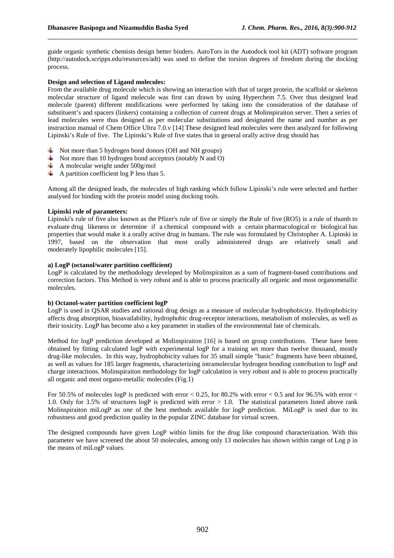guide organic synthetic chemists design better binders. AutoTors in the Autodock tool kit (ADT) software program (http://autodock.scripps.edu/resources/adt) was used to define the torsion degrees of freedom during the docking process.

\_\_\_\_\_\_\_\_\_\_\_\_\_\_\_\_\_\_\_\_\_\_\_\_\_\_\_\_\_\_\_\_\_\_\_\_\_\_\_\_\_\_\_\_\_\_\_\_\_\_\_\_\_\_\_\_\_\_\_\_\_\_\_\_\_\_\_\_\_\_\_\_\_\_\_\_\_\_

#### **Design and selection of Ligand molecules:**

From the available drug molecule which is showing an interaction with that of target protein, the scaffold or skeleton molecular structure of ligand molecule was first can drawn by using Hyperchem 7.5. Over thus designed lead molecule (parent) different modifications were performed by taking into the consideration of the database of substituent's and spacers (linkers) containing a collection of current drugs at Molinspiraiton server. Then a series of lead molecules were thus designed as per molecular substitutions and designated the name and number as per instruction manual of Chem Office Ultra 7.0.v [14] These designed lead molecules were then analyzed for following Lipinski's Rule of five. The Lipinski's Rule of five states that in general orally active drug should has

- $\overline{\text{A}}$  Not more than 5 hydrogen bond donors (OH and NH groups)
- $\overline{\text{+}}$  Not more than 10 hydrogen bond acceptors (notably N and O)
- $\leftarrow$  A molecular weight under 500g/mol
- $\overline{\phantom{a}}$  A partition coefficient log P less than 5.

Among all the designed leads, the molecules of high ranking which follow Lipinski's rule were selected and further analysed for binding with the protein model using docking tools.

#### **Lipinski rule of parameters:**

Lipinski's rule of five also known as the Pfizer's rule of five or simply the Rule of five (RO5) is a rule of thumb to evaluate drug likeness or determine if a chemical compound with a certain pharmacological or biological has properties that would make it a orally active drug in humans. The rule was formulated by Christopher A. Lipinski in 1997, based on the observation that most orally administered drugs are relatively small and moderately lipophilic molecules [15].

#### **a) LogP (octanol/water partition coefficient)**

LogP is calculated by the methodology developed by Molinspiraiton as a sum of fragment-based contributions and correction factors. This Method is very robust and is able to process practically all organic and most organometallic molecules.

#### **b) Octanol-water partition coefficient logP**

LogP is used in QSAR studies and rational drug design as a measure of molecular hydrophobicity. Hydrophobicity affects drug absorption, bioavailability, hydrophobic drug-receptor interactions, metabolism of molecules, as well as their toxicity. LogP has become also a key parameter in studies of the environmental fate of chemicals.

Method for logP prediction developed at Molinspiraiton [16] is based on group contributions. These have been obtained by fitting calculated logP with experimental logP for a training set more than twelve thousand, mostly drug-like molecules. In this way, hydrophobicity values for 35 small simple "basic" fragments have been obtained, as well as values for 185 larger fragments, characterizing intramolecular hydrogen bonding contribution to logP and charge interactions. Molinspiraiton methodology for logP calculation is very robust and is able to process practically all organic and most organo-metallic molecules (Fig.1)

For 50.5% of molecules logP is predicted with error  $< 0.25$ , for 80.2% with error  $< 0.5$  and for 96.5% with error  $<$ 1.0. Only for 3.5% of structures logP is predicted with error > 1.0. The statistical parameters listed above rank Molinspiraiton miLogP as one of the best methods available for logP prediction. MiLogP is used due to its robustness and good prediction quality in the popular ZINC database for virtual screen.

The designed compounds have given LogP within limits for the drug like compound characterization. With this parameter we have screened the about 50 molecules, among only 13 molecules has shown within range of Log p in the means of miLogP values.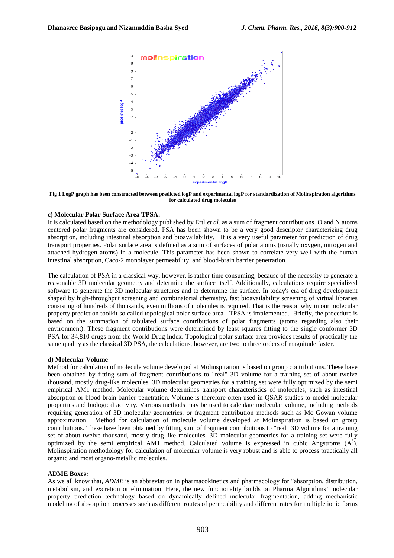

**Fig 1 LogP graph has been constructed between predicted logP and experimental logP for standardization of Molinspiration algorithms for calculated drug molecules** 

### **c) Molecular Polar Surface Area TPSA:**

It is calculated based on the methodology published by Ertl *et al.* as a sum of fragment contributions. O and N atoms centered polar fragments are considered. PSA has been shown to be a very good descriptor characterizing drug absorption, including intestinal absorption and bioavailability. It is a very useful parameter for prediction of drug transport properties. Polar surface area is defined as a sum of surfaces of polar atoms (usually oxygen, nitrogen and attached hydrogen atoms) in a molecule. This parameter has been shown to correlate very well with the human intestinal absorption, Caco-2 monolayer permeability, and blood-brain barrier penetration.

The calculation of PSA in a classical way, however, is rather time consuming, because of the necessity to generate a reasonable 3D molecular geometry and determine the surface itself. Additionally, calculations require specialized software to generate the 3D molecular structures and to determine the surface. In today's era of drug development shaped by high-throughput screening and combinatorial chemistry, fast bioavailability screening of virtual libraries consisting of hundreds of thousands, even millions of molecules is required. That is the reason why in our molecular property prediction toolkit so called topological polar surface area - TPSA is implemented. Briefly, the procedure is based on the summation of tabulated surface contributions of polar fragments (atoms regarding also their environment). These fragment contributions were determined by least squares fitting to the single conformer 3D PSA for 34,810 drugs from the World Drug Index. Topological polar surface area provides results of practically the same quality as the classical 3D PSA, the calculations, however, are two to three orders of magnitude faster.

#### **d) Molecular Volume**

Method for calculation of molecule volume developed at Molinspiration is based on group contributions. These have been obtained by fitting sum of fragment contributions to "real" 3D volume for a training set of about twelve thousand, mostly drug-like molecules. 3D molecular geometries for a training set were fully optimized by the semi empirical AM1 method. Molecular volume determines transport characteristics of molecules, such as intestinal absorption or blood-brain barrier penetration. Volume is therefore often used in QSAR studies to model molecular properties and biological activity. Various methods may be used to calculate molecular volume, including methods requiring generation of 3D molecular geometries, or fragment contribution methods such as Mc Gowan volume approximation. Method for calculation of molecule volume developed at Molinspiration is based on group contributions. These have been obtained by fitting sum of fragment contributions to "real" 3D volume for a training set of about twelve thousand, mostly drug-like molecules. 3D molecular geometries for a training set were fully optimized by the semi empirical AM1 method. Calculated volume is expressed in cubic Angstroms  $(A^3)$ . Molinspiration methodology for calculation of molecular volume is very robust and is able to process practically all organic and most organo-metallic molecules.

#### **ADME Boxes:**

As we all know that, *ADME* is an abbreviation in pharmacokinetics and pharmacology for "absorption, distribution, metabolism, and excretion or elimination. Here, the new functionality builds on Pharma Algorithms' molecular property prediction technology based on dynamically defined molecular fragmentation, adding mechanistic modeling of absorption processes such as different routes of permeability and different rates for multiple ionic forms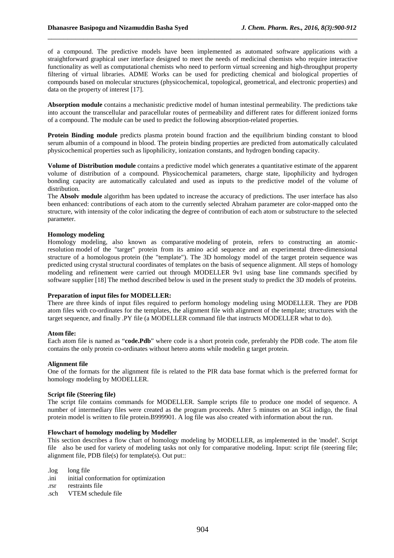of a compound. The predictive models have been implemented as automated software applications with a straightforward graphical user interface designed to meet the needs of medicinal chemists who require interactive functionality as well as computational chemists who need to perform virtual screening and high-throughput property filtering of virtual libraries. ADME Works can be used for predicting chemical and biological properties of compounds based on molecular structures (physicochemical, topological, geometrical, and electronic properties) and data on the property of interest [17].

\_\_\_\_\_\_\_\_\_\_\_\_\_\_\_\_\_\_\_\_\_\_\_\_\_\_\_\_\_\_\_\_\_\_\_\_\_\_\_\_\_\_\_\_\_\_\_\_\_\_\_\_\_\_\_\_\_\_\_\_\_\_\_\_\_\_\_\_\_\_\_\_\_\_\_\_\_\_

**Absorption module** contains a mechanistic predictive model of human intestinal permeability. The predictions take into account the transcellular and paracellular routes of permeability and different rates for different ionized forms of a compound. The module can be used to predict the following absorption-related properties.

**Protein Binding module** predicts plasma protein bound fraction and the equilibrium binding constant to blood serum albumin of a compound in blood. The protein binding properties are predicted from automatically calculated physicochemical properties such as lipophilicity, ionization constants, and hydrogen bonding capacity.

**Volume of Distribution module** contains a predictive model which generates a quantitative estimate of the apparent volume of distribution of a compound. Physicochemical parameters, charge state, lipophilicity and hydrogen bonding capacity are automatically calculated and used as inputs to the predictive model of the volume of distribution.

The **Absolv module** algorithm has been updated to increase the accuracy of predictions. The user interface has also been enhanced: contributions of each atom to the currently selected Abraham parameter are color-mapped onto the structure, with intensity of the color indicating the degree of contribution of each atom or substructure to the selected parameter.

#### **Homology modeling**

Homology modeling, also known as comparative modeling of protein, refers to constructing an atomicresolution model of the "target" protein from its amino acid sequence and an experimental three-dimensional structure of a homologous protein (the "template"). The 3D homology model of the target protein sequence was predicted using crystal structural coordinates of templates on the basis of sequence alignment. All steps of homology modeling and refinement were carried out through MODELLER 9v1 using base line commands specified by software supplier [18] The method described below is used in the present study to predict the 3D models of proteins.

#### **Preparation of input files for MODELLER:**

There are three kinds of input files required to perform homology modeling using MODELLER. They are PDB atom files with co-ordinates for the templates, the alignment file with alignment of the template; structures with the target sequence, and finally .PY file (a MODELLER command file that instructs MODELLER what to do).

#### **Atom file:**

Each atom file is named as "**code.Pdb**" where code is a short protein code, preferably the PDB code. The atom file contains the only protein co-ordinates without hetero atoms while modelin g target protein.

#### **Alignment file**

One of the formats for the alignment file is related to the PIR data base format which is the preferred format for homology modeling by MODELLER.

#### **Script file (Steering file)**

The script file contains commands for MODELLER. Sample scripts file to produce one model of sequence. A number of intermediary files were created as the program proceeds. After 5 minutes on an SGI indigo, the final protein model is written to file protein.B999901. A log file was also created with information about the run.

#### **Flowchart of homology modeling by Modeller**

This section describes a flow chart of homology modeling by MODELLER, as implemented in the 'model'. Script file also be used for variety of modeling tasks not only for comparative modeling. Input: script file (steering file; alignment file, PDB file(s) for template(s). Out put::

.log long file

- .ini initial conformation for optimization
- .rsr restraints file
- .sch VTEM schedule file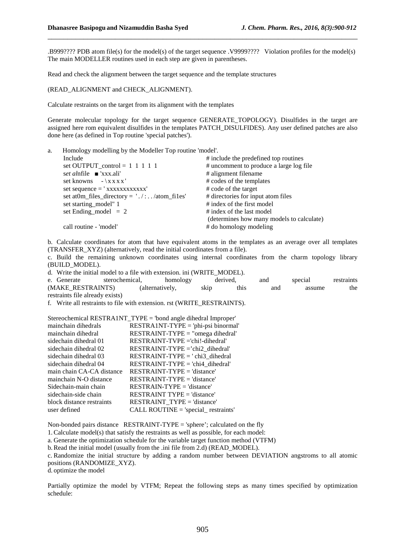.B999???? PDB atom file(s) for the model(s) of the target sequence .V9999???? Violation profiles for the model(s) The main MODELLER routines used in each step are given in parentheses.

\_\_\_\_\_\_\_\_\_\_\_\_\_\_\_\_\_\_\_\_\_\_\_\_\_\_\_\_\_\_\_\_\_\_\_\_\_\_\_\_\_\_\_\_\_\_\_\_\_\_\_\_\_\_\_\_\_\_\_\_\_\_\_\_\_\_\_\_\_\_\_\_\_\_\_\_\_\_

Read and check the alignment between the target sequence and the template structures

(READ\_ALIGNMENT and CHECK\_ALIGNMENT).

Calculate restraints on the target from its alignment with the templates

Generate molecular topology for the target sequence GENERATE\_TOPOLOGY). Disulfides in the target are assigned here rom equivalent disulfides in the templates PATCH\_DISULFIDES). Any user defined patches are also done here (as defined in Top routine 'special patches').

| Homology modelling by the Modeller Top routine 'model'. |                                           |  |  |  |
|---------------------------------------------------------|-------------------------------------------|--|--|--|
| Include                                                 | # include the predefined top routines     |  |  |  |
| set OUTPUT_control = $1 \t1 \t1 \t1$                    | # uncomment to produce a large log file   |  |  |  |
| set alphile $\bullet$ 'xxx.ali'                         | # alignment filename                      |  |  |  |
| set knowns $-\x_{xx}x$                                  | # codes of the templates                  |  |  |  |
|                                                         | # code of the target                      |  |  |  |
| set at 0m_files_directory = $'./:.$ /atom_files'        | # directories for input atom files        |  |  |  |
| set starting_model" 1                                   | # index of the first model                |  |  |  |
| set Ending_model = $2$                                  | # index of the last model                 |  |  |  |
|                                                         | (determines how many models to calculate) |  |  |  |
| call routine - 'model'                                  | # do homology modeling                    |  |  |  |
|                                                         |                                           |  |  |  |

b. Calculate coordinates for atom that have equivalent atoms in the templates as an average over all templates (TRANSFER\_XYZ) (alternatively, read the initial coordinates from a file).

c. Build the remaining unknown coordinates using internal coordinates from the charm topology library (BUILD\_MODEL).

d. Write the initial model to a file with extension. ini (WRITE\_MODEL).

e. Generate sterochemical, homology derived, and special restraints (MAKE RESTRAINTS) (alternatively, skip this and assume the restraints file already exists)

f. Write all restraints to file with extension. rst (WRITE\_RESTRAINTS).

|                           | Stereochemical RESTRA1NT_TYPE = 'bond angle dihedral Improper' |
|---------------------------|----------------------------------------------------------------|
| mainchain dihedrals       | RESTRA1NT-TYPE = 'phi-psi binormal'                            |
| mainchain dihedral        | $RESTRAINT-TYPE = "omega dihedral"$                            |
| sidechain dihedral 01     | RESTRAINT-TVPE ='chi!-dihedral'                                |
| sidechain dihedral 02     | $RESTRAINT-TYPE = \text{chi2} \ dhedral$                       |
| sidechain dihedral 03     | $RESTRAINT-TYPE = 'chi3 dihedral$                              |
| sidechain dihedral 04     | $RESTRAINT-TYPE = 'chi4$ dihedral'                             |
| main chain CA-CA distance | $RESTRAINT-TYPE = 'distance'$                                  |
| mainchain N-O distance    | $RESTRAINT-TYPE = 'distance'$                                  |
| Sidechain-main chain      | $RESTRAIN-TYPE = 'distance'$                                   |
| sidechain-side chain      | <b>RESTRAINT TYPE = 'distance'</b>                             |
| block distance restraints | <b>RESTRAINT TYPE = 'distance'</b>                             |
| user defined              | CALL ROUTINE = 'special_ restraints'                           |

Non-bonded pairs distance RESTRAINT-TYPE = 'sphere'; calculated on the fly

1.Calculate model(s) that satisfy the restraints as well as possible, for each model:

a. Generate the optimization schedule for the variable target function method (VTFM)

b.Read the initial model (usually from the .ini file from 2.d) (READ\_MODEL).

c. Randomize the initial structure by adding a random number between DEVIATION angstroms to all atomic positions (RANDOMIZE\_XYZ).

d. optimize the model

Partially optimize the model by VTFM; Repeat the following steps as many times specified by optimization schedule: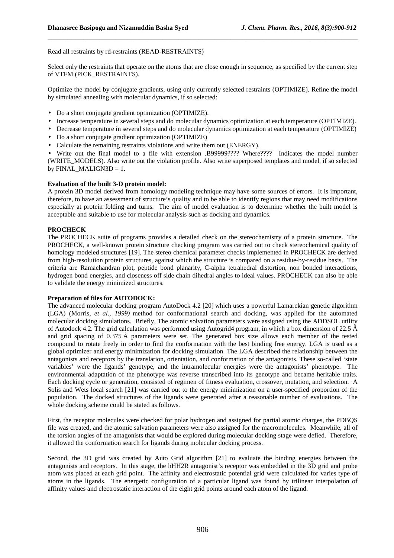Read all restraints by rd-restraints (READ-RESTRAINTS)

Select only the restraints that operate on the atoms that are close enough in sequence, as specified by the current step of VTFM (PICK\_RESTRAINTS).

\_\_\_\_\_\_\_\_\_\_\_\_\_\_\_\_\_\_\_\_\_\_\_\_\_\_\_\_\_\_\_\_\_\_\_\_\_\_\_\_\_\_\_\_\_\_\_\_\_\_\_\_\_\_\_\_\_\_\_\_\_\_\_\_\_\_\_\_\_\_\_\_\_\_\_\_\_\_

Optimize the model by conjugate gradients, using only currently selected restraints (OPTIMIZE). Refine the model by simulated annealing with molecular dynamics, if so selected:

- Do a short conjugate gradient optimization (OPTIMIZE).
- Increase temperature in several steps and do molecular dynamics optimization at each temperature (OPTIMIZE).
- Decrease temperature in several steps and do molecular dynamics optimization at each temperature (OPTIMIZE)
- Do a short conjugate gradient optimization (OPTIMIZE)
- Calculate the remaining restraints violations and write them out (ENERGY).

• Write out the final model to a file with extension .B99999???? Where???? Indicates the model number (WRITE\_MODELS). Also write out the violation profile. Also write superposed templates and model, if so selected by  $FINAL\_MALIGN3D = 1$ .

#### **Evaluation of the built 3-D protein model:**

A protein 3D model derived from homology modeling technique may have some sources of errors. It is important, therefore, to have an assessment of structure's quality and to be able to identify regions that may need modifications especially at protein folding and turns. The aim of model evaluation is to determine whether the built model is acceptable and suitable to use for molecular analysis such as docking and dynamics.

# **PROCHECK**

The PROCHECK suite of programs provides a detailed check on the stereochemistry of a protein structure. The PROCHECK, a well-known protein structure checking program was carried out to check stereochemical quality of homology modeled structures [19]. The stereo chemical parameter checks implemented in PROCHECK are derived from high-resolution protein structures, against which the structure is compared on a residue-by-residue basis. The criteria are Ramachandran plot, peptide bond planarity, C-alpha tetrahedral distortion, non bonded interactions, hydrogen bond energies, and closeness off side chain dihedral angles to ideal values. PROCHECK can also be able to validate the energy minimized structures.

#### **Preparation of files for AUTODOCK:**

The advanced molecular docking program AutoDock 4.2 [20] which uses a powerful Lamarckian genetic algorithm (LGA) (Morris, *et al., 1999)* method for conformational search and docking, was applied for the automated molecular docking simulations. Briefly, The atomic solvation parameters were assigned using the ADDSOL utility of Autodock 4.2. The grid calculation was performed using Autogrid4 program, in which a box dimension of 22.5 Å and grid spacing of 0.375 Å parameters were set. The generated box size allows each member of the tested compound to rotate freely in order to find the conformation with the best binding free energy. LGA is used as a global optimizer and energy minimization for docking simulation. The LGA described the relationship between the antagonists and receptors by the translation, orientation, and conformation of the antagonists. These so-called 'state variables' were the ligands' genotype, and the intramolecular energies were the antagonists' phenotype. The environmental adaptation of the phenotype was reverse transcribed into its genotype and became heritable traits. Each docking cycle or generation, consisted of regimen of fitness evaluation, crossover, mutation, and selection. A Solis and Wets local search [21] was carried out to the energy minimization on a user-specified proportion of the population. The docked structures of the ligands were generated after a reasonable number of evaluations. The whole docking scheme could be stated as follows.

First, the receptor molecules were checked for polar hydrogen and assigned for partial atomic charges, the PDBQS file was created, and the atomic salvation parameters were also assigned for the macromolecules. Meanwhile, all of the torsion angles of the antagonists that would be explored during molecular docking stage were defied. Therefore, it allowed the conformation search for ligands during molecular docking process.

Second, the 3D grid was created by Auto Grid algorithm [21] to evaluate the binding energies between the antagonists and receptors. In this stage, the hHH2R antagonist's receptor was embedded in the 3D grid and probe atom was placed at each grid point. The affinity and electrostatic potential grid were calculated for varies type of atoms in the ligands. The energetic configuration of a particular ligand was found by trilinear interpolation of affinity values and electrostatic interaction of the eight grid points around each atom of the ligand.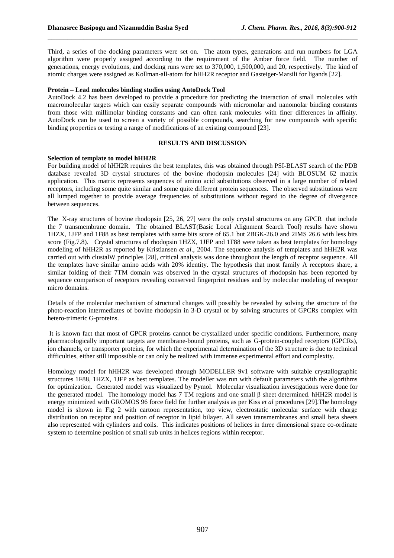Third, a series of the docking parameters were set on. The atom types, generations and run numbers for LGA algorithm were properly assigned according to the requirement of the Amber force field. The number of generations, energy evolutions, and docking runs were set to 370,000, 1,500,000, and 20, respectively. The kind of atomic charges were assigned as Kollman-all-atom for hHH2R receptor and Gasteiger-Marsili for ligands [22].

\_\_\_\_\_\_\_\_\_\_\_\_\_\_\_\_\_\_\_\_\_\_\_\_\_\_\_\_\_\_\_\_\_\_\_\_\_\_\_\_\_\_\_\_\_\_\_\_\_\_\_\_\_\_\_\_\_\_\_\_\_\_\_\_\_\_\_\_\_\_\_\_\_\_\_\_\_\_

#### **Protein – Lead molecules binding studies using AutoDock Tool**

AutoDock 4.2 has been developed to provide a procedure for predicting the interaction of small molecules with macromolecular targets which can easily separate compounds with micromolar and nanomolar binding constants from those with millimolar binding constants and can often rank molecules with finer differences in affinity. AutoDock can be used to screen a variety of possible compounds, searching for new compounds with specific binding properties or testing a range of modifications of an existing compound [23].

#### **RESULTS AND DISCUSSION**

#### **Selection of template to model hHH2R**

For building model of hHH2R requires the best templates, this was obtained through PSI-BLAST search of the PDB database revealed 3D crystal structures of the bovine rhodopsin molecules [24] with BLOSUM 62 matrix application. This matrix represents sequences of amino acid substitutions observed in a large number of related receptors, including some quite similar and some quite different protein sequences. The observed substitutions were all lumped together to provide average frequencies of substitutions without regard to the degree of divergence between sequences.

The X-ray structures of bovine rhodopsin [25, 26, 27] were the only crystal structures on any GPCR that include the 7 transmembrane domain. The obtained BLAST(Basic Local Alignment Search Tool) results have shown 1HZX, 1JFP and 1F88 as best templates with same bits score of 65.1 but 2BGK-26.0 and 2IMS 26.6 with less bits score (Fig.7.8). Crystal structures of rhodopsin 1HZX, 1JEP and 1F88 were taken as best templates for homology modeling of hHH2R as reported by Kristiansen *et al*., 2004. The sequence analysis of templates and hHH2R was carried out with clustalW principles [28], critical analysis was done throughout the length of receptor sequence. All the templates have similar amino acids with 20% identity. The hypothesis that most family A receptors share, a similar folding of their 7TM domain was observed in the crystal structures of rhodopsin has been reported by sequence comparison of receptors revealing conserved fingerprint residues and by molecular modeling of receptor micro domains.

Details of the molecular mechanism of structural changes will possibly be revealed by solving the structure of the photo-reaction intermediates of bovine rhodopsin in 3-D crystal or by solving structures of GPCRs complex with hetero-trimeric G-proteins.

 It is known fact that most of GPCR proteins cannot be crystallized under specific conditions. Furthermore, many pharmacologically important targets are membrane-bound proteins, such as G-protein-coupled receptors (GPCRs), ion channels, or transporter proteins, for which the experimental determination of the 3D structure is due to technical difficulties, either still impossible or can only be realized with immense experimental effort and complexity.

Homology model for hHH2R was developed through MODELLER 9v1 software with suitable crystallographic structures 1F88, 1HZX, 1JFP as best templates. The modeller was run with default parameters with the algorithms for optimization. Generated model was visualized by Pymol. Molecular visualization investigations were done for the generated model. The homology model has 7 TM regions and one small β sheet determined. hHH2R model is energy minimized with GROMOS 96 force field for further analysis as per Kiss *et al* procedures [29].The homology model is shown in Fig 2 with cartoon representation, top view, electrostatic molecular surface with charge distribution on receptor and position of receptor in lipid bilayer. All seven transmembranes and small beta sheets also represented with cylinders and coils. This indicates positions of helices in three dimensional space co-ordinate system to determine position of small sub units in helices regions within receptor.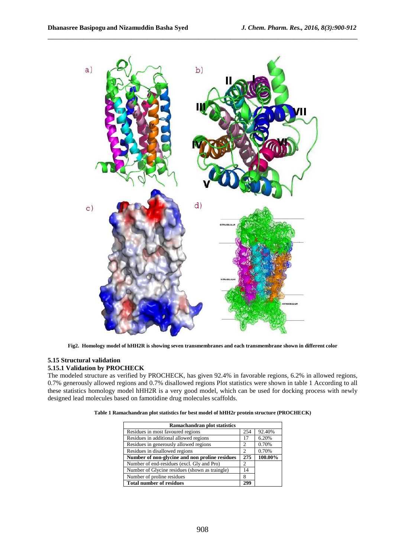

**Fig2. Homology model of hHH2R is showing seven transmembranes and each transmembrane shown in different color** 

# **5.15 Structural validation**

# **5.15.1 Validation by PROCHECK**

The modeled structure as verified by PROCHECK, has given 92.4% in favorable regions, 6.2% in allowed regions, 0.7% generously allowed regions and 0.7% disallowed regions Plot statistics were shown in table 1 According to all these statistics homology model hHH2R is a very good model, which can be used for docking process with newly designed lead molecules based on famotidine drug molecules scaffolds.

|  | Table 1 Ramachandran plot statistics for best model of hHH2r protein structure (PROCHECK) |
|--|-------------------------------------------------------------------------------------------|
|--|-------------------------------------------------------------------------------------------|

| Ramachandran plot statistics                   |     |         |  |  |
|------------------------------------------------|-----|---------|--|--|
| Residues in most favoured regions              | 254 | 92.40%  |  |  |
| Residues in additional allowed regions         | 17  | 6.20%   |  |  |
| Residues in generously allowed regions         | 2   | 0.70%   |  |  |
| Residues in disallowed regions                 | 2   | 0.70%   |  |  |
| Number of non-glycine and non proline residues | 275 | 100.00% |  |  |
| Number of end-residues (excl. Gly and Pro)     | 2   |         |  |  |
| Number of Glycine residues (shown as traingle) | 14  |         |  |  |
| Number of proline residues                     | 8   |         |  |  |
| <b>Total number of residues</b>                | 299 |         |  |  |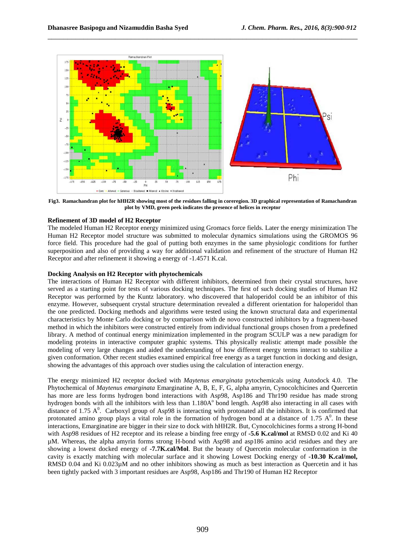

**Fig3. Ramachandran plot for hHH2R showing most of the residues falling in coreregion. 3D graphical representation of Ramachandran plot by VMD, green peek indicates the presence of helices in receptor** 

# **Refinement of 3D model of H2 Receptor**

The modeled Human H2 Receptor energy minimized using Gromacs force fields. Later the energy minimization The Human H2 Receptor model structure was submitted to molecular dynamics simulations using the GROMOS 96 force field. This procedure had the goal of putting both enzymes in the same physiologic conditions for further superposition and also of providing a way for additional validation and refinement of the structure of Human H2 Receptor and after refinement it showing a energy of -1.4571 K.cal.

# **Docking Analysis on H2 Receptor with phytochemicals**

The interactions of Human H2 Receptor with different inhibitors, determined from their crystal structures, have served as a starting point for tests of various docking techniques. The first of such docking studies of Human H2 Receptor was performed by the Kuntz laboratory. who discovered that haloperidol could be an inhibitor of this enzyme. However, subsequent crystal structure determination revealed a different orientation for haloperidol than the one predicted. Docking methods and algorithms were tested using the known structural data and experimental characteristics by Monte Carlo docking or by comparison with de novo constructed inhibitors by a fragment-based method in which the inhibitors were constructed entirely from individual functional groups chosen from a predefined library. A method of continual energy minimization implemented in the program SCULP was a new paradigm for modeling proteins in interactive computer graphic systems. This physically realistic attempt made possible the modeling of very large changes and aided the understanding of how different energy terms interact to stabilize a given conformation. Other recent studies examined empirical free energy as a target function in docking and design, showing the advantages of this approach over studies using the calculation of interaction energy.

The energy minimized H2 receptor docked with *Maytenus emarginata* pytochemicals using Autodock 4.0. The Phytochemical of *Maytenus emarginata* Emarginatine A, B, E, F, G, alpha amyrin, Cynocolchicines and Quercetin has more are less forms hydrogen bond interactions with Asp98, Asp186 and Thr190 residue has made strong hydrogen bonds with all the inhibitors with less than 1.180A<sup>°</sup> bond length. Asp98 also interacting in all cases with distance of 1.75  $A^0$ . Carboxyl group of Asp98 is interacting with protonated all the inhibitors. It is confirmed that protonated amino group plays a vital role in the formation of hydrogen bond at a distance of 1.75  $A^0$ . In these interactions, Emarginatine are bigger in their size to dock with hHH2R. But, Cynocolchicines forms a strong H-bond with Asp98 residues of H2 receptor and its release a binding free enrgy of **-5.6 K.cal/mol** at RMSD 0.02 and Ki 40 µM. Whereas, the alpha amyrin forms strong H-bond with Asp98 and asp186 amino acid residues and they are showing a lowest docked energy of **-7.7K.cal/Mol**. But the beauty of Quercetin molecular conformation in the cavity is exactly matching with molecular surface and it showing Lowest Docking energy of **-10.30 K.cal/mol,** RMSD 0.04 and Ki 0.023µM and no other inhibitors showing as much as best interaction as Quercetin and it has been tightly packed with 3 important residues are Asp98, Asp186 and Thr190 of Human H2 Receptor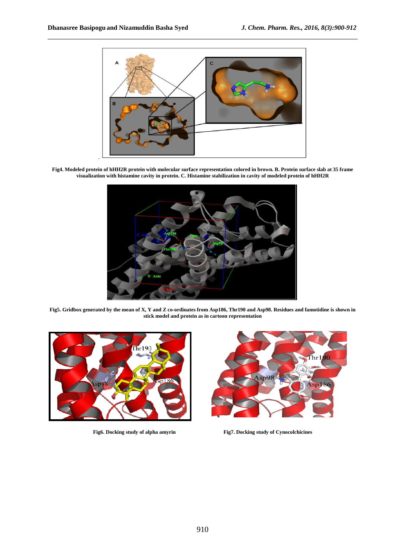

**Fig4. Modeled protein of hHH2R protein with molecular surface representation colored in brown. B. Protein surface slab at 35 frame visualization with histamine cavity in protein. C. Histamine stabilization in cavity of modeled protein of hHH2R** 



**Fig5. Gridbox generated by the mean of X, Y and Z co-ordinates from Asp186, Thr190 and Asp98. Residues and famotidine is shown in stick model and protein as in cartoon representation**





**Fig6. Docking study of alpha amyrin Fig7. Docking study of Cynocolchicines**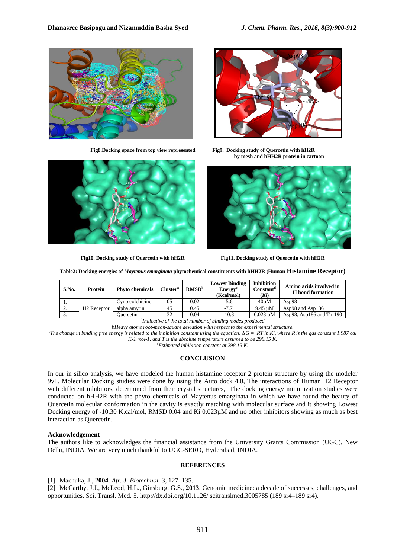



**Fig8.Docking space from top view represented Fig9. Docking study of Quercetin with hH2R by mesh and hHH2R protein in cartoon** 



**Fig10. Docking study of Quercetin with hH2R Fig11. Docking study of Quercetin with hH2R** 



**Table2: Docking energies of** *Maytenus emarginata* **phytochemical constituents with hHH2R (Human Histamine Receptor)**

\_\_\_\_\_\_\_\_\_\_\_\_\_\_\_\_\_\_\_\_\_\_\_\_\_\_\_\_\_\_\_\_\_\_\_\_\_\_\_\_\_\_\_\_\_\_\_\_\_\_\_\_\_\_\_\_\_\_\_\_\_\_\_\_\_\_\_\_\_\_\_\_\_\_\_\_\_\_

| S.No.     | Protein                 | <b>Phyto chemicals</b> | Cluster <sup>a</sup> | RMSD <sup>b</sup> | <b>Lowest Binding</b><br>Energy <sup>c</sup><br>(Kcal/mol) | <b>Inhibition</b><br>Constant <sup>d</sup><br>(Ki) | Amino acids involved in<br><b>H</b> bond formation |
|-----------|-------------------------|------------------------|----------------------|-------------------|------------------------------------------------------------|----------------------------------------------------|----------------------------------------------------|
|           | H <sub>2</sub> Receptor | Cyno colchicine        | 05                   | 0.02              | $-5.6$                                                     | 40uM                                               | Asp $98$                                           |
| <u>L.</u> |                         | alpha amvrin           | 45                   | 0.45              | $-7.7$                                                     | $9.45 \text{ u}$ M                                 | Asp98 and Asp186                                   |
| <u>.</u>  |                         | Ouercetin              | 32                   | 0.04              | $-10.3$                                                    | $0.023 \mu M$                                      | Asp98, Asp186 and $Thr190$                         |

*a Indicative of the total number of binding modes produced* 

*bHeavy atoms root-mean-square deviation with respect to the experimental structure.* 

 $c$ The change in binding free energy is related to the inhibition constant using the equation:  $\Delta \vec{G} = RT$  in Ki, where R is the gas constant 1.987 cal *K-1 mol-1, and T is the absolute temperature assumed to be 298.15 K.* 

*<sup>d</sup>Estimated inhibition constant at 298.15 K.* 

#### **CONCLUSION**

In our in silico analysis, we have modeled the human histamine receptor 2 protein structure by using the modeler 9v1. Molecular Docking studies were done by using the Auto dock 4.0, The interactions of Human H2 Receptor with different inhibitors, determined from their crystal structures, The docking energy minimization studies were conducted on hHH2R with the phyto chemicals of Maytenus emarginata in which we have found the beauty of Quercetin molecular conformation in the cavity is exactly matching with molecular surface and it showing Lowest Docking energy of -10.30 K.cal/mol, RMSD 0.04 and Ki 0.023µM and no other inhibitors showing as much as best interaction as Quercetin.

#### **Acknowledgement**

The authors like to acknowledges the financial assistance from the University Grants Commission (UGC), New Delhi, INDIA, We are very much thankful to UGC-SERO, Hyderabad, INDIA.

#### **REFERENCES**

[1] Machuka, J., **2004**. *Afr. J. Biotechnol*. 3, 127–135.

[2] McCarthy, J.J., McLeod, H.L., Ginsburg, G.S., **2013**. Genomic medicine: a decade of successes, challenges, and opportunities. Sci. Transl. Med. 5. http://dx.doi.org/10.1126/ scitranslmed.3005785 (189 sr4–189 sr4).